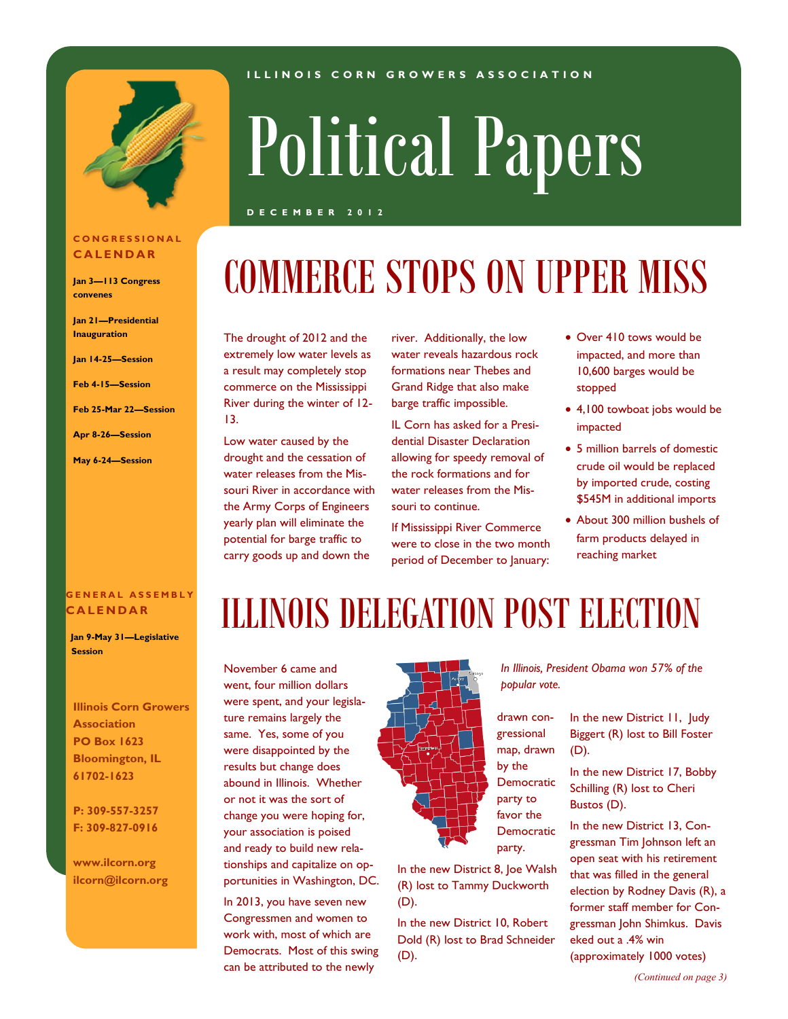

#### **C O N G R E S S I O N A L C A L E N D A R**

**Jan 3—113 Congress convenes**

**Jan 21—Presidential Inauguration**

**Jan 14-25—Session**

**Feb 4-15—Session**

**Feb 25-Mar 22—Session**

#### **Apr 8-26—Session**

**May 6-24—Session**

# Political Papers

**I L L I N O I S C O R N G R O W E R S A S S O C I A T I O N**

#### **D E C E M B E R 2 0 1 2**

### COMMERCE STOPS ON UPPER MISS

The drought of 2012 and the extremely low water levels as a result may completely stop commerce on the Mississippi River during the winter of 12- 13.

Low water caused by the drought and the cessation of water releases from the Missouri River in accordance with the Army Corps of Engineers yearly plan will eliminate the potential for barge traffic to carry goods up and down the

river. Additionally, the low water reveals hazardous rock formations near Thebes and Grand Ridge that also make barge traffic impossible.

IL Corn has asked for a Presidential Disaster Declaration allowing for speedy removal of the rock formations and for water releases from the Missouri to continue.

If Mississippi River Commerce were to close in the two month period of December to January:

- Over 410 tows would be impacted, and more than 10,600 barges would be stopped
- 4,100 towboat jobs would be impacted
- 5 million barrels of domestic crude oil would be replaced by imported crude, costing \$545M in additional imports
- About 300 million bushels of farm products delayed in reaching market

#### **G E N E R A L A S S E M B L Y C A L E N D A R**

 **Jan 9-May 31—Legislative Session**

**Illinois Corn Growers Association PO Box 1623 Bloomington, IL 61702-1623**

**P: 309-557-3257 F: 309-827-0916**

**www.ilcorn.org ilcorn@ilcorn.org**

### ILLINOIS DELEGATION POST ELECTION

November 6 came and went, four million dollars were spent, and your legislature remains largely the same. Yes, some of you were disappointed by the results but change does abound in Illinois. Whether or not it was the sort of change you were hoping for, your association is poised and ready to build new relationships and capitalize on opportunities in Washington, DC.

In 2013, you have seven new Congressmen and women to work with, most of which are Democrats. Most of this swing can be attributed to the newly



In the new District 8, Joe Walsh (R) lost to Tammy Duckworth (D).

In the new District 10, Robert Dold (R) lost to Brad Schneider (D).

*In Illinois, President Obama won 57% of the popular vote.*

> In the new District 11, Judy Biggert (R) lost to Bill Foster (D).

In the new District 17, Bobby Schilling (R) lost to Cheri Bustos (D).

In the new District 13, Congressman Tim Johnson left an open seat with his retirement that was filled in the general election by Rodney Davis (R), a former staff member for Congressman John Shimkus. Davis eked out a .4% win (approximately 1000 votes)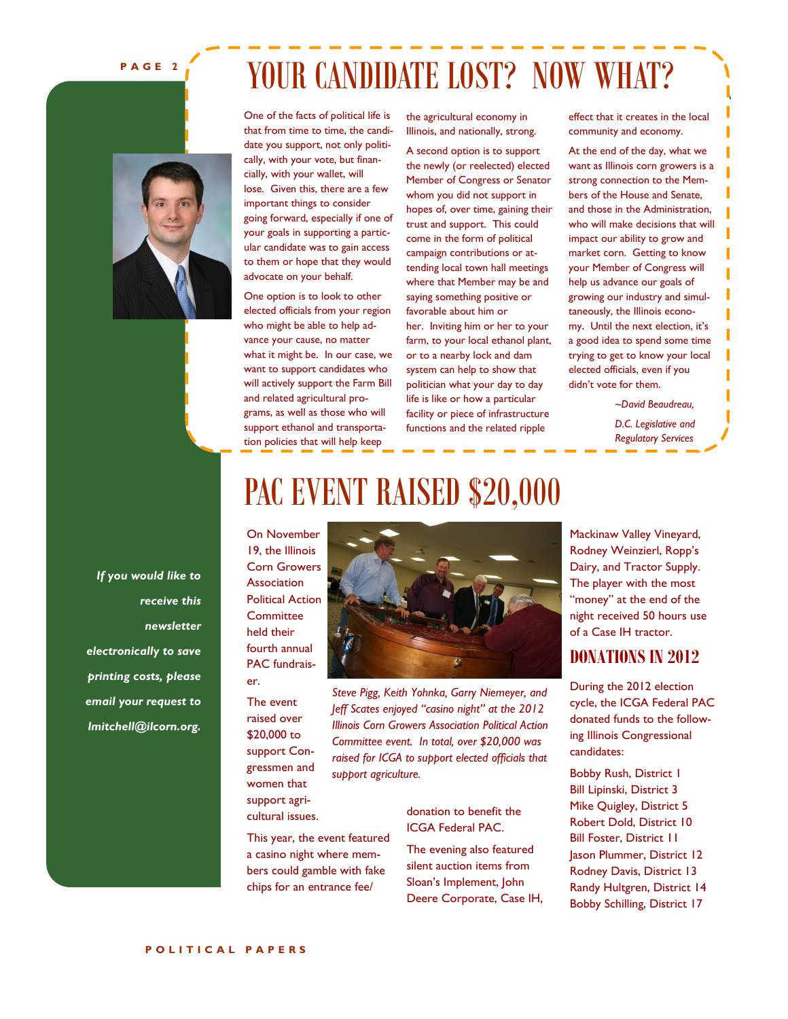#### **P A G E 2**

### YOUR CANDIDATE LOST? NOW WHAT?

One of the facts of political life is that from time to time, the candidate you support, not only politically, with your vote, but financially, with your wallet, will lose. Given this, there are a few important things to consider going forward, especially if one of your goals in supporting a particular candidate was to gain access to them or hope that they would advocate on your behalf.

One option is to look to other elected officials from your region who might be able to help advance your cause, no matter what it might be. In our case, we want to support candidates who will actively support the Farm Bill and related agricultural programs, as well as those who will support ethanol and transportation policies that will help keep

the agricultural economy in Illinois, and nationally, strong.

A second option is to support the newly (or reelected) elected Member of Congress or Senator whom you did not support in hopes of, over time, gaining their trust and support. This could come in the form of political campaign contributions or attending local town hall meetings where that Member may be and saying something positive or favorable about him or her. Inviting him or her to your farm, to your local ethanol plant, or to a nearby lock and dam system can help to show that politician what your day to day life is like or how a particular facility or piece of infrastructure functions and the related ripple

effect that it creates in the local community and economy.

At the end of the day, what we want as Illinois corn growers is a strong connection to the Members of the House and Senate, and those in the Administration, who will make decisions that will impact our ability to grow and market corn. Getting to know your Member of Congress will help us advance our goals of growing our industry and simultaneously, the Illinois economy. Until the next election, it's a good idea to spend some time trying to get to know your local elected officials, even if you didn't vote for them.

*~David Beaudreau,* 

*D.C. Legislative and Regulatory Services*

*If you would like to receive this newsletter electronically to save printing costs, please email your request to lmitchell@ilcorn.org.*

### PAC EVENT RAISED \$20,000

On November 19, the Illinois Corn Growers Association Political Action **Committee** held their fourth annual PAC fundraiser.

The event raised over \$20,000 to support Congressmen and women that support agricultural issues.

This year, the event featured a casino night where members could gamble with fake chips for an entrance fee/



*Steve Pigg, Keith Yohnka, Garry Niemeyer, and Jeff Scates enjoyed "casino night" at the 2012 Illinois Corn Growers Association Political Action Committee event. In total, over \$20,000 was raised for ICGA to support elected officials that support agriculture.*

#### donation to benefit the ICGA Federal PAC.

The evening also featured silent auction items from Sloan's Implement, John Deere Corporate, Case IH, Mackinaw Valley Vineyard, Rodney Weinzierl, Ropp's Dairy, and Tractor Supply. The player with the most "money" at the end of the night received 50 hours use of a Case IH tractor.

### **DONATIONS IN 2012**

During the 2012 election cycle, the ICGA Federal PAC donated funds to the following Illinois Congressional candidates:

Bobby Rush, District 1 Bill Lipinski, District 3 Mike Quigley, District 5 Robert Dold, District 10 Bill Foster, District 11 Jason Plummer, District 12 Rodney Davis, District 13 Randy Hultgren, District 14 Bobby Schilling, District 17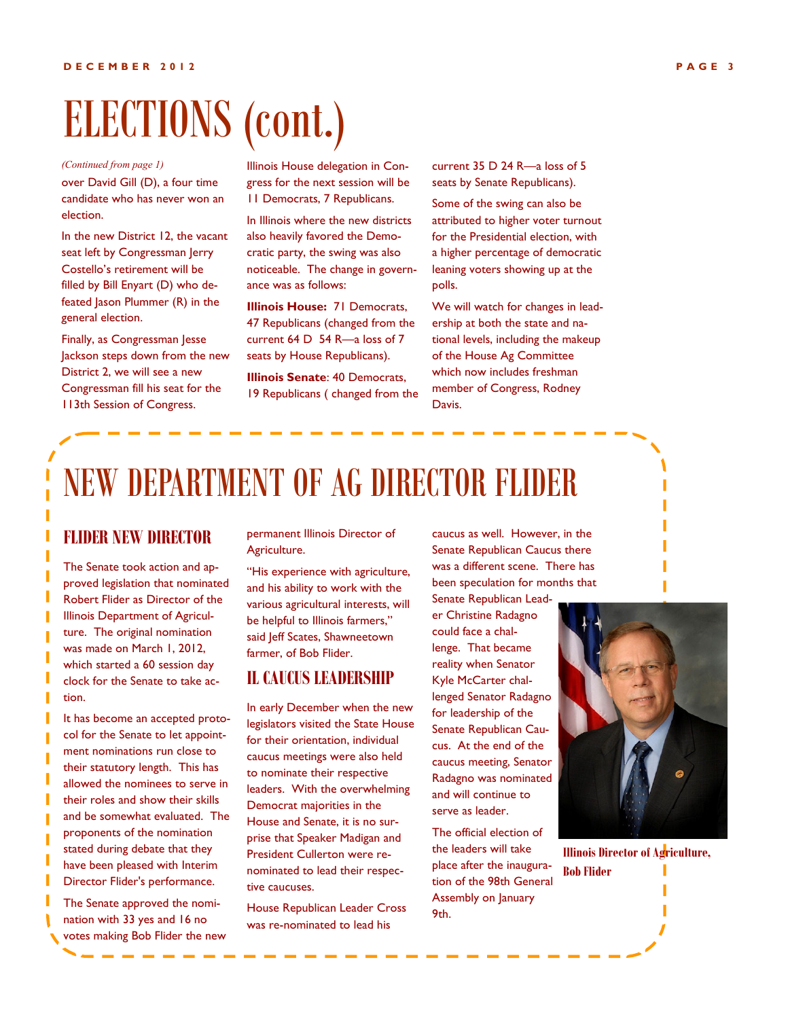## ELECTIONS (cont.)

over David Gill (D), a four time candidate who has never won an election. *(Continued from page 1)*

In the new District 12, the vacant seat left by Congressman Jerry Costello's retirement will be filled by Bill Enyart (D) who defeated Jason Plummer (R) in the general election.

Finally, as Congressman Jesse Jackson steps down from the new District 2, we will see a new Congressman fill his seat for the 113th Session of Congress.

Illinois House delegation in Congress for the next session will be 11 Democrats, 7 Republicans.

In Illinois where the new districts also heavily favored the Democratic party, the swing was also noticeable. The change in governance was as follows:

**Illinois House: 71 Democrats.** 47 Republicans (changed from the current 64 D 54 R—a loss of 7 seats by House Republicans).

**Illinois Senate**: 40 Democrats, 19 Republicans ( changed from the current 35 D 24 R—a loss of 5 seats by Senate Republicans).

Some of the swing can also be attributed to higher voter turnout for the Presidential election, with a higher percentage of democratic leaning voters showing up at the polls.

We will watch for changes in leadership at both the state and national levels, including the makeup of the House Ag Committee which now includes freshman member of Congress, Rodney Davis.

### NEW DEPARTMENT OF AG DIRECTOR FLIDER

#### **FLIDER NEW DIRECTOR**

The Senate took action and approved legislation that nominated Robert Flider as Director of the Illinois Department of Agriculture. The original nomination was made on March 1, 2012, which started a 60 session day clock for the Senate to take action.

It has become an accepted protocol for the Senate to let appointment nominations run close to their statutory length. This has allowed the nominees to serve in their roles and show their skills and be somewhat evaluated. The proponents of the nomination stated during debate that they have been pleased with Interim Director Flider's performance.

The Senate approved the nomination with 33 yes and 16 no votes making Bob Flider the new permanent Illinois Director of Agriculture.

"His experience with agriculture, and his ability to work with the various agricultural interests, will be helpful to Illinois farmers," said Jeff Scates, Shawneetown farmer, of Bob Flider.

### **IL CAUCUS LEADERSHIP**

In early December when the new legislators visited the State House for their orientation, individual caucus meetings were also held to nominate their respective leaders. With the overwhelming Democrat majorities in the House and Senate, it is no surprise that Speaker Madigan and President Cullerton were renominated to lead their respective caucuses.

House Republican Leader Cross was re-nominated to lead his

caucus as well. However, in the Senate Republican Caucus there was a different scene. There has been speculation for months that

Senate Republican Leader Christine Radagno could face a challenge. That became reality when Senator Kyle McCarter challenged Senator Radagno for leadership of the Senate Republican Caucus. At the end of the caucus meeting, Senator Radagno was nominated and will continue to serve as leader.

The official election of the leaders will take place after the inauguration of the 98th General Assembly on January 9th.



**Illinois Director of Agriculture,** 

| <b>Bob Flider</b> |  |
|-------------------|--|
|                   |  |
|                   |  |
|                   |  |
|                   |  |